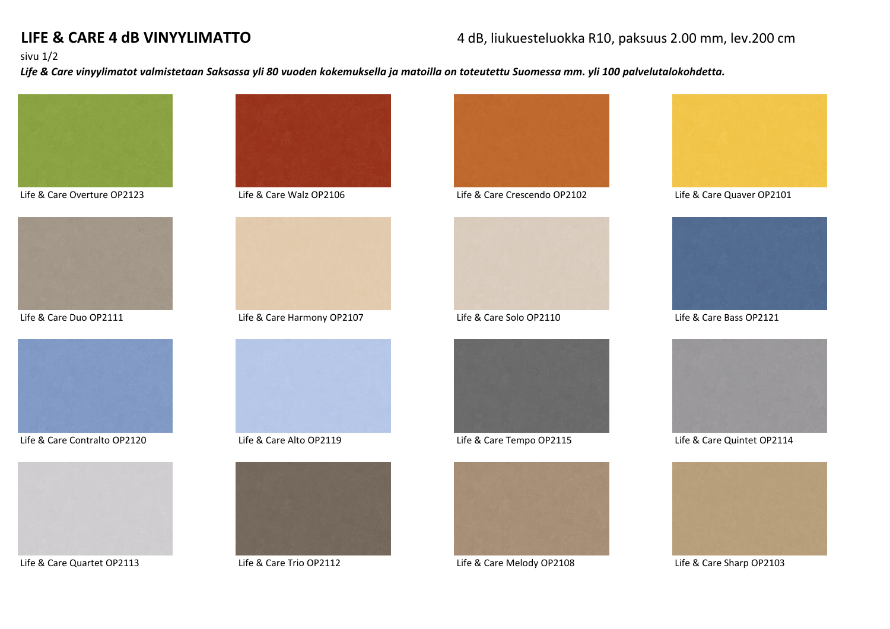# **LIFE & CARE 4 dB VINYYLIMATTO** 4 dB, liukuesteluokka R10, paksuus 2.00 mm, lev.200 cm

### sivu 1/2

*Life & Care vinyylimatot valmistetaan Saksassa yli 80 vuoden kokemuksella ja matoilla on toteutettu Suomessa mm. yli 100 palvelutalokohdetta.*







Life & Care Contralto OP2120 Life & Care Alto OP2119 Life & Care Tempo OP2115 Life & Care Quintet OP2114







Life & Care Duo OP2111 Life & Care Harmony OP2107 Life & Care Solo OP2110 Life & Care Bass OP2121







Life & Care Overture OP2123 Life & Care Walz OP2106 Life & Care Crescendo OP2102 Life & Care Quaver OP2101







Life & Care Quartet OP2113 Life & Care Trio OP2112 Life & Care Melody OP2108 Life & Care Sharp OP2103